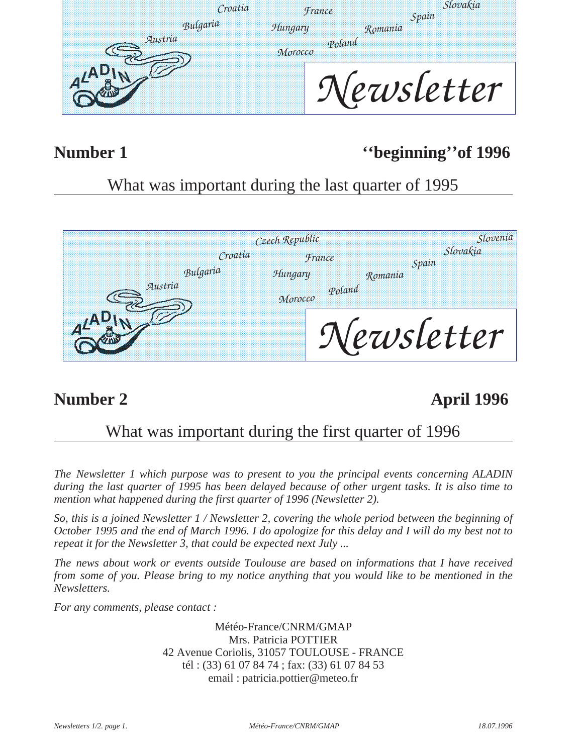| Croatia  | <i>Hrance</i>     | slovakia<br>Spain |
|----------|-------------------|-------------------|
| Bulgaria | Hungary           | Romania           |
| Austria  | Poland<br>Morocco |                   |
|          |                   | letter            |

# Number 1 <sup>''beginning''of 1996</sup>

# What was important during the last quarter of 1995



# **Number 2** April 1996

## What was important during the first quarter of 1996

*The Newsletter 1 which purpose was to present to you the principal events concerning ALADIN during the last quarter of 1995 has been delayed because of other urgent tasks. It is also time to mention what happened during the first quarter of 1996 (Newsletter 2).*

*So, this is a joined Newsletter 1 / Newsletter 2, covering the whole period between the beginning of October 1995 and the end of March 1996. I do apologize for this delay and I will do my best not to repeat it for the Newsletter 3, that could be expected next July ...* 

*The news about work or events outside Toulouse are based on informations that I have received from some of you. Please bring to my notice anything that you would like to be mentioned in the Newsletters.*

*For any comments, please contact :* 

Météo-France/CNRM/GMAP Mrs. Patricia POTTIER 42 Avenue Coriolis, 31057 TOULOUSE - FRANCE tél : (33) 61 07 84 74 ; fax: (33) 61 07 84 53 email : patricia.pottier@meteo.fr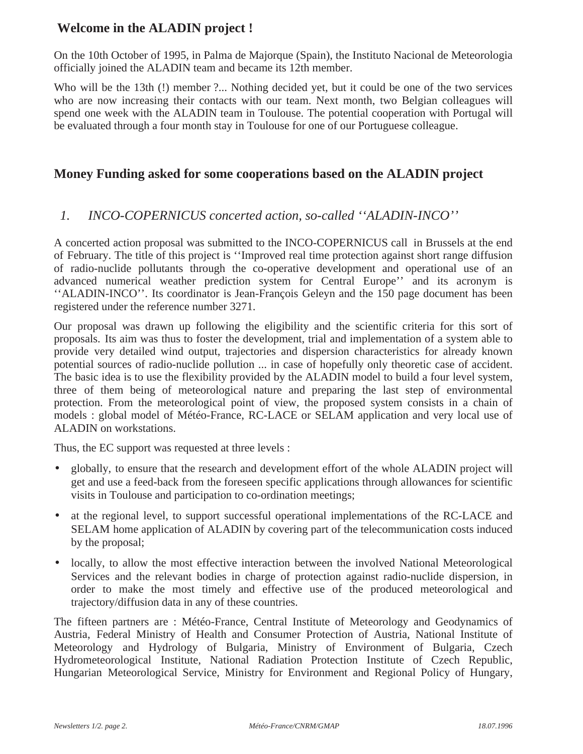#### **Welcome in the ALADIN project !**

On the 10th October of 1995, in Palma de Majorque (Spain), the Instituto Nacional de Meteorologia officially joined the ALADIN team and became its 12th member.

Who will be the 13th (!) member ?... Nothing decided yet, but it could be one of the two services who are now increasing their contacts with our team. Next month, two Belgian colleagues will spend one week with the ALADIN team in Toulouse. The potential cooperation with Portugal will be evaluated through a four month stay in Toulouse for one of our Portuguese colleague.

#### **Money Funding asked for some cooperations based on the ALADIN project**

#### *1. INCO-COPERNICUS concerted action, so-called ''ALADIN-INCO''*

A concerted action proposal was submitted to the INCO-COPERNICUS call in Brussels at the end of February. The title of this project is ''Improved real time protection against short range diffusion of radio-nuclide pollutants through the co-operative development and operational use of an advanced numerical weather prediction system for Central Europe'' and its acronym is ''ALADIN-INCO''. Its coordinator is Jean-François Geleyn and the 150 page document has been registered under the reference number 3271.

Our proposal was drawn up following the eligibility and the scientific criteria for this sort of proposals. Its aim was thus to foster the development, trial and implementation of a system able to provide very detailed wind output, trajectories and dispersion characteristics for already known potential sources of radio-nuclide pollution ... in case of hopefully only theoretic case of accident. The basic idea is to use the flexibility provided by the ALADIN model to build a four level system, three of them being of meteorological nature and preparing the last step of environmental protection. From the meteorological point of view, the proposed system consists in a chain of models : global model of Météo-France, RC-LACE or SELAM application and very local use of ALADIN on workstations.

Thus, the EC support was requested at three levels :

- globally, to ensure that the research and development effort of the whole ALADIN project will get and use a feed-back from the foreseen specific applications through allowances for scientific visits in Toulouse and participation to co-ordination meetings;
- at the regional level, to support successful operational implementations of the RC-LACE and SELAM home application of ALADIN by covering part of the telecommunication costs induced by the proposal;
- locally, to allow the most effective interaction between the involved National Meteorological Services and the relevant bodies in charge of protection against radio-nuclide dispersion, in order to make the most timely and effective use of the produced meteorological and trajectory/diffusion data in any of these countries.

The fifteen partners are : Météo-France, Central Institute of Meteorology and Geodynamics of Austria, Federal Ministry of Health and Consumer Protection of Austria, National Institute of Meteorology and Hydrology of Bulgaria, Ministry of Environment of Bulgaria, Czech Hydrometeorological Institute, National Radiation Protection Institute of Czech Republic, Hungarian Meteorological Service, Ministry for Environment and Regional Policy of Hungary,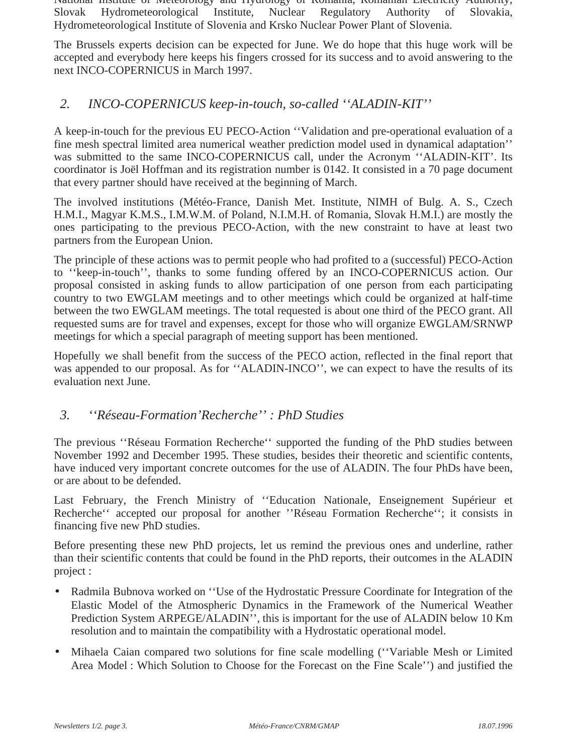National Institute of Meteorology and Hydrology of Romania, Romanian Electricity Authority, Slovak Hydrometeorological Institute, Nuclear Regulatory Authority of Slovakia, Hydrometeorological Institute of Slovenia and Krsko Nuclear Power Plant of Slovenia.

The Brussels experts decision can be expected for June. We do hope that this huge work will be accepted and everybody here keeps his fingers crossed for its success and to avoid answering to the next INCO-COPERNICUS in March 1997.

#### *2. INCO-COPERNICUS keep-in-touch, so-called ''ALADIN-KIT''*

A keep-in-touch for the previous EU PECO-Action ''Validation and pre-operational evaluation of a fine mesh spectral limited area numerical weather prediction model used in dynamical adaptation'' was submitted to the same INCO-COPERNICUS call, under the Acronym ''ALADIN-KIT'. Its coordinator is Joël Hoffman and its registration number is 0142. It consisted in a 70 page document that every partner should have received at the beginning of March.

The involved institutions (Météo-France, Danish Met. Institute, NIMH of Bulg. A. S., Czech H.M.I., Magyar K.M.S., I.M.W.M. of Poland, N.I.M.H. of Romania, Slovak H.M.I.) are mostly the ones participating to the previous PECO-Action, with the new constraint to have at least two partners from the European Union.

The principle of these actions was to permit people who had profited to a (successful) PECO-Action to ''keep-in-touch'', thanks to some funding offered by an INCO-COPERNICUS action. Our proposal consisted in asking funds to allow participation of one person from each participating country to two EWGLAM meetings and to other meetings which could be organized at half-time between the two EWGLAM meetings. The total requested is about one third of the PECO grant. All requested sums are for travel and expenses, except for those who will organize EWGLAM/SRNWP meetings for which a special paragraph of meeting support has been mentioned.

Hopefully we shall benefit from the success of the PECO action, reflected in the final report that was appended to our proposal. As for ''ALADIN-INCO'', we can expect to have the results of its evaluation next June.

#### *3. ''Réseau-Formation'Recherche'' : PhD Studies*

The previous ''Réseau Formation Recherche'' supported the funding of the PhD studies between November 1992 and December 1995. These studies, besides their theoretic and scientific contents, have induced very important concrete outcomes for the use of ALADIN. The four PhDs have been, or are about to be defended.

Last February, the French Ministry of ''Education Nationale, Enseignement Supérieur et Recherche'' accepted our proposal for another ''Réseau Formation Recherche''; it consists in financing five new PhD studies.

Before presenting these new PhD projects, let us remind the previous ones and underline, rather than their scientific contents that could be found in the PhD reports, their outcomes in the ALADIN project :

- Radmila Bubnova worked on ''Use of the Hydrostatic Pressure Coordinate for Integration of the Elastic Model of the Atmospheric Dynamics in the Framework of the Numerical Weather Prediction System ARPEGE/ALADIN'', this is important for the use of ALADIN below 10 Km resolution and to maintain the compatibility with a Hydrostatic operational model.
- Mihaela Caian compared two solutions for fine scale modelling (''Variable Mesh or Limited Area Model : Which Solution to Choose for the Forecast on the Fine Scale'') and justified the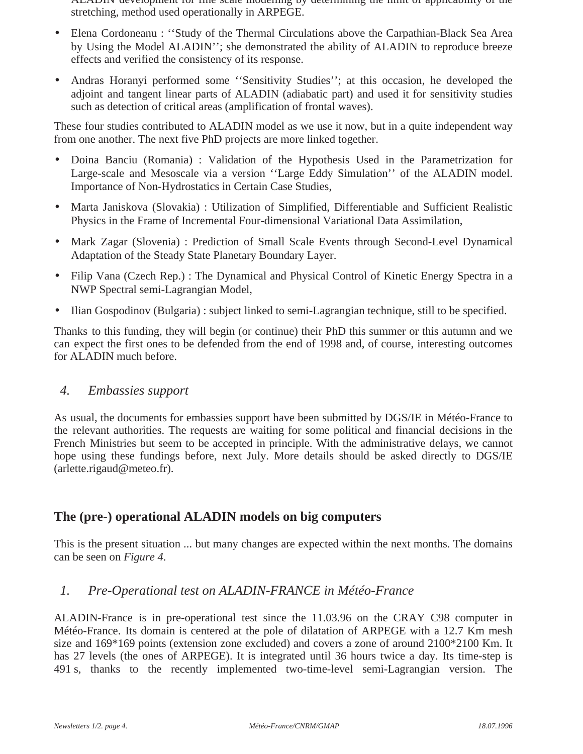ALADIN development for fine scale modelling by determining the limit of applicability of the stretching, method used operationally in ARPEGE.

- Elena Cordoneanu : "Study of the Thermal Circulations above the Carpathian-Black Sea Area by Using the Model ALADIN''; she demonstrated the ability of ALADIN to reproduce breeze effects and verified the consistency of its response.
- Andras Horanyi performed some ''Sensitivity Studies''; at this occasion, he developed the adjoint and tangent linear parts of ALADIN (adiabatic part) and used it for sensitivity studies such as detection of critical areas (amplification of frontal waves).

These four studies contributed to ALADIN model as we use it now, but in a quite independent way from one another. The next five PhD projects are more linked together.

- Doina Banciu (Romania) : Validation of the Hypothesis Used in the Parametrization for Large-scale and Mesoscale via a version ''Large Eddy Simulation'' of the ALADIN model. Importance of Non-Hydrostatics in Certain Case Studies,
- Marta Janiskova (Slovakia) : Utilization of Simplified, Differentiable and Sufficient Realistic Physics in the Frame of Incremental Four-dimensional Variational Data Assimilation,
- Mark Zagar (Slovenia) : Prediction of Small Scale Events through Second-Level Dynamical Adaptation of the Steady State Planetary Boundary Layer.
- Filip Vana (Czech Rep.) : The Dynamical and Physical Control of Kinetic Energy Spectra in a NWP Spectral semi-Lagrangian Model,
- Ilian Gospodinov (Bulgaria): subject linked to semi-Lagrangian technique, still to be specified.

Thanks to this funding, they will begin (or continue) their PhD this summer or this autumn and we can expect the first ones to be defended from the end of 1998 and, of course, interesting outcomes for ALADIN much before.

#### *4. Embassies support*

As usual, the documents for embassies support have been submitted by DGS/IE in Météo-France to the relevant authorities. The requests are waiting for some political and financial decisions in the French Ministries but seem to be accepted in principle. With the administrative delays, we cannot hope using these fundings before, next July. More details should be asked directly to DGS/IE (arlette.rigaud@meteo.fr).

#### **The (pre-) operational ALADIN models on big computers**

This is the present situation ... but many changes are expected within the next months. The domains can be seen on *Figure 4*.

#### *1. Pre-Operational test on ALADIN-FRANCE in Météo-France*

ALADIN-France is in pre-operational test since the 11.03.96 on the CRAY C98 computer in Météo-France. Its domain is centered at the pole of dilatation of ARPEGE with a 12.7 Km mesh size and 169\*169 points (extension zone excluded) and covers a zone of around 2100\*2100 Km. It has 27 levels (the ones of ARPEGE). It is integrated until 36 hours twice a day. Its time-step is 491 s, thanks to the recently implemented two-time-level semi-Lagrangian version. The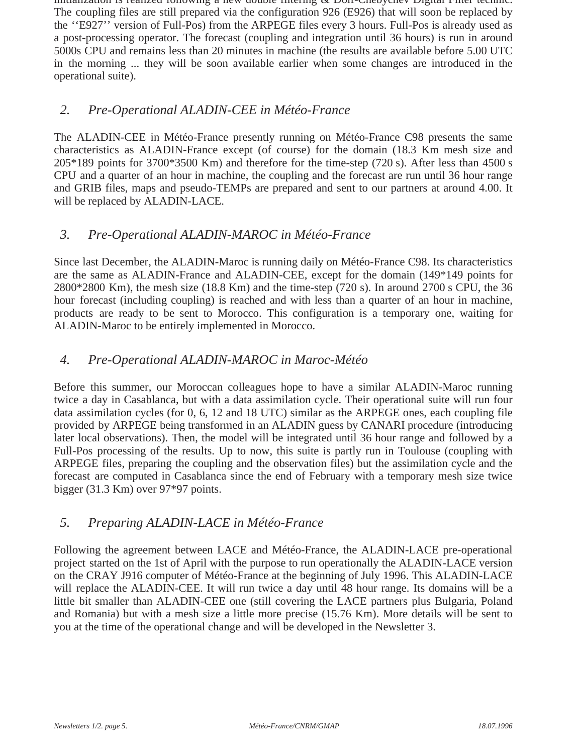initialization is realized following a new double filtering & Dolf-Chebychev Digital Filter technic. The coupling files are still prepared via the configuration 926 (E926) that will soon be replaced by the ''E927'' version of Full-Pos) from the ARPEGE files every 3 hours. Full-Pos is already used as a post-processing operator. The forecast (coupling and integration until 36 hours) is run in around 5000s CPU and remains less than 20 minutes in machine (the results are available before 5.00 UTC in the morning ... they will be soon available earlier when some changes are introduced in the operational suite).

#### *2. Pre-Operational ALADIN-CEE in Météo-France*

The ALADIN-CEE in Météo-France presently running on Météo-France C98 presents the same characteristics as ALADIN-France except (of course) for the domain (18.3 Km mesh size and 205\*189 points for 3700\*3500 Km) and therefore for the time-step (720 s). After less than 4500 s CPU and a quarter of an hour in machine, the coupling and the forecast are run until 36 hour range and GRIB files, maps and pseudo-TEMPs are prepared and sent to our partners at around 4.00. It will be replaced by ALADIN-LACE.

#### *3. Pre-Operational ALADIN-MAROC in Météo-France*

Since last December, the ALADIN-Maroc is running daily on Météo-France C98. Its characteristics are the same as ALADIN-France and ALADIN-CEE, except for the domain (149\*149 points for 2800\*2800 Km), the mesh size (18.8 Km) and the time-step (720 s). In around 2700 s CPU, the 36 hour forecast (including coupling) is reached and with less than a quarter of an hour in machine, products are ready to be sent to Morocco. This configuration is a temporary one, waiting for ALADIN-Maroc to be entirely implemented in Morocco.

#### *4. Pre-Operational ALADIN-MAROC in Maroc-Météo*

Before this summer, our Moroccan colleagues hope to have a similar ALADIN-Maroc running twice a day in Casablanca, but with a data assimilation cycle. Their operational suite will run four data assimilation cycles (for 0, 6, 12 and 18 UTC) similar as the ARPEGE ones, each coupling file provided by ARPEGE being transformed in an ALADIN guess by CANARI procedure (introducing later local observations). Then, the model will be integrated until 36 hour range and followed by a Full-Pos processing of the results. Up to now, this suite is partly run in Toulouse (coupling with ARPEGE files, preparing the coupling and the observation files) but the assimilation cycle and the forecast are computed in Casablanca since the end of February with a temporary mesh size twice bigger (31.3 Km) over 97\*97 points.

#### *5. Preparing ALADIN-LACE in Météo-France*

Following the agreement between LACE and Météo-France, the ALADIN-LACE pre-operational project started on the 1st of April with the purpose to run operationally the ALADIN-LACE version on the CRAY J916 computer of Météo-France at the beginning of July 1996. This ALADIN-LACE will replace the ALADIN-CEE. It will run twice a day until 48 hour range. Its domains will be a little bit smaller than ALADIN-CEE one (still covering the LACE partners plus Bulgaria, Poland and Romania) but with a mesh size a little more precise (15.76 Km). More details will be sent to you at the time of the operational change and will be developed in the Newsletter 3.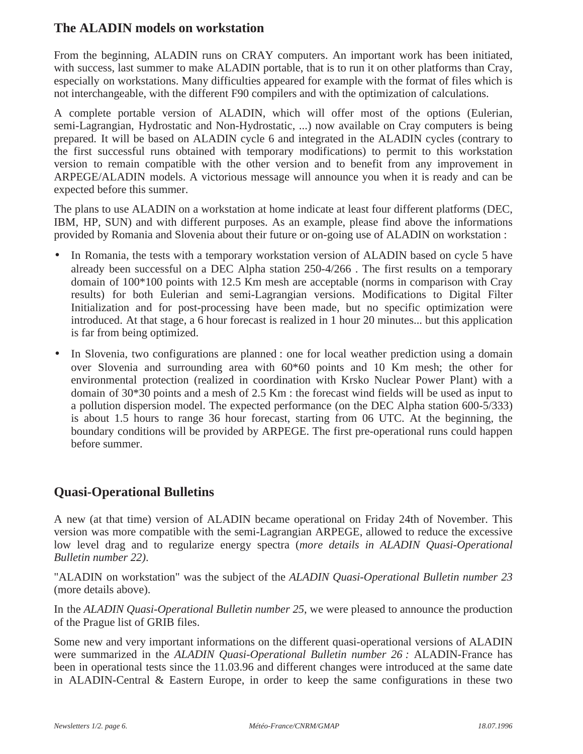## **The ALADIN models on workstation**

From the beginning, ALADIN runs on CRAY computers. An important work has been initiated, with success, last summer to make ALADIN portable, that is to run it on other platforms than Cray, especially on workstations. Many difficulties appeared for example with the format of files which is not interchangeable, with the different F90 compilers and with the optimization of calculations.

A complete portable version of ALADIN, which will offer most of the options (Eulerian, semi-Lagrangian, Hydrostatic and Non-Hydrostatic, ...) now available on Cray computers is being prepared. It will be based on ALADIN cycle 6 and integrated in the ALADIN cycles (contrary to the first successful runs obtained with temporary modifications) to permit to this workstation version to remain compatible with the other version and to benefit from any improvement in ARPEGE/ALADIN models. A victorious message will announce you when it is ready and can be expected before this summer.

The plans to use ALADIN on a workstation at home indicate at least four different platforms (DEC, IBM, HP, SUN) and with different purposes. As an example, please find above the informations provided by Romania and Slovenia about their future or on-going use of ALADIN on workstation :

- In Romania, the tests with a temporary workstation version of ALADIN based on cycle 5 have already been successful on a DEC Alpha station 250-4/266 . The first results on a temporary domain of 100\*100 points with 12.5 Km mesh are acceptable (norms in comparison with Cray results) for both Eulerian and semi-Lagrangian versions. Modifications to Digital Filter Initialization and for post-processing have been made, but no specific optimization were introduced. At that stage, a 6 hour forecast is realized in 1 hour 20 minutes... but this application is far from being optimized.
- In Slovenia, two configurations are planned : one for local weather prediction using a domain over Slovenia and surrounding area with 60\*60 points and 10 Km mesh; the other for environmental protection (realized in coordination with Krsko Nuclear Power Plant) with a domain of 30\*30 points and a mesh of 2.5 Km : the forecast wind fields will be used as input to a pollution dispersion model. The expected performance (on the DEC Alpha station 600-5/333) is about 1.5 hours to range 36 hour forecast, starting from 06 UTC. At the beginning, the boundary conditions will be provided by ARPEGE. The first pre-operational runs could happen before summer.

## **Quasi-Operational Bulletins**

A new (at that time) version of ALADIN became operational on Friday 24th of November. This version was more compatible with the semi-Lagrangian ARPEGE, allowed to reduce the excessive low level drag and to regularize energy spectra (*more details in ALADIN Quasi-Operational Bulletin number 22)*.

"ALADIN on workstation" was the subject of the *ALADIN Quasi-Operational Bulletin number 23* (more details above).

In the *ALADIN Quasi-Operational Bulletin number 25*, we were pleased to announce the production of the Prague list of GRIB files.

Some new and very important informations on the different quasi-operational versions of ALADIN were summarized in the *ALADIN Quasi-Operational Bulletin number 26 :* ALADIN-France has been in operational tests since the 11.03.96 and different changes were introduced at the same date in ALADIN-Central & Eastern Europe, in order to keep the same configurations in these two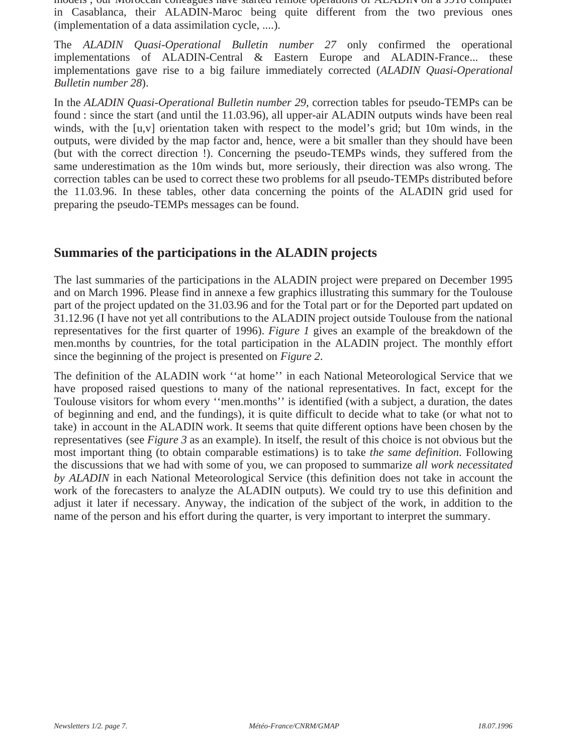models ; our Moroccan colleagues have started remote operations of ALADIN on a J916 computer in Casablanca, their ALADIN-Maroc being quite different from the two previous ones (implementation of a data assimilation cycle, ....).

The *ALADIN Quasi-Operational Bulletin number 27* only confirmed the operational implementations of ALADIN-Central & Eastern Europe and ALADIN-France... these implementations gave rise to a big failure immediately corrected (*ALADIN Quasi-Operational Bulletin number 28*).

In the *ALADIN Quasi-Operational Bulletin number 29,* correction tables for pseudo-TEMPs can be found : since the start (and until the 11.03.96), all upper-air ALADIN outputs winds have been real winds, with the [u,v] orientation taken with respect to the model's grid; but 10m winds, in the outputs, were divided by the map factor and, hence, were a bit smaller than they should have been (but with the correct direction !). Concerning the pseudo-TEMPs winds, they suffered from the same underestimation as the 10m winds but, more seriously, their direction was also wrong. The correction tables can be used to correct these two problems for all pseudo-TEMPs distributed before the 11.03.96. In these tables, other data concerning the points of the ALADIN grid used for preparing the pseudo-TEMPs messages can be found.

#### **Summaries of the participations in the ALADIN projects**

The last summaries of the participations in the ALADIN project were prepared on December 1995 and on March 1996. Please find in annexe a few graphics illustrating this summary for the Toulouse part of the project updated on the 31.03.96 and for the Total part or for the Deported part updated on 31.12.96 (I have not yet all contributions to the ALADIN project outside Toulouse from the national representatives for the first quarter of 1996). *Figure 1* gives an example of the breakdown of the men.months by countries, for the total participation in the ALADIN project. The monthly effort since the beginning of the project is presented on *Figure 2*.

The definition of the ALADIN work ''at home'' in each National Meteorological Service that we have proposed raised questions to many of the national representatives. In fact, except for the Toulouse visitors for whom every ''men.months'' is identified (with a subject, a duration, the dates of beginning and end, and the fundings), it is quite difficult to decide what to take (or what not to take) in account in the ALADIN work. It seems that quite different options have been chosen by the representatives (see *Figure 3* as an example). In itself, the result of this choice is not obvious but the most important thing (to obtain comparable estimations) is to take *the same definition*. Following the discussions that we had with some of you, we can proposed to summarize *all work necessitated by ALADIN* in each National Meteorological Service (this definition does not take in account the work of the forecasters to analyze the ALADIN outputs). We could try to use this definition and adjust it later if necessary. Anyway, the indication of the subject of the work, in addition to the name of the person and his effort during the quarter, is very important to interpret the summary.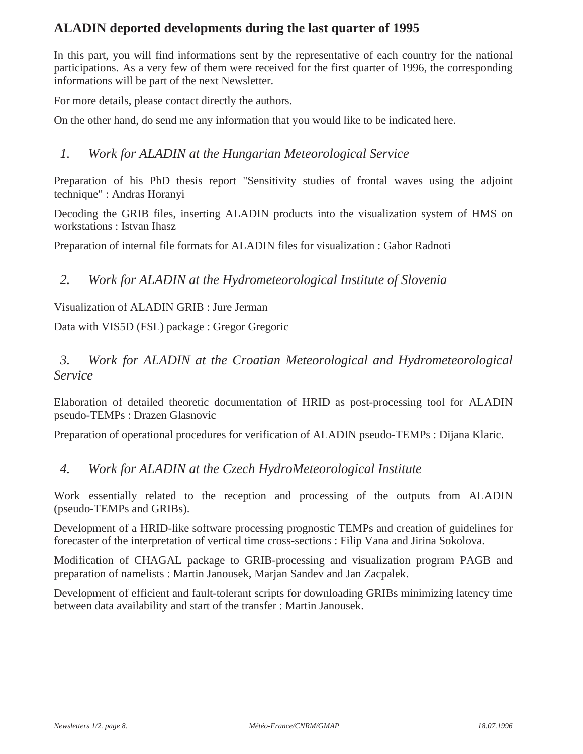## **ALADIN deported developments during the last quarter of 1995**

In this part, you will find informations sent by the representative of each country for the national participations. As a very few of them were received for the first quarter of 1996, the corresponding informations will be part of the next Newsletter.

For more details, please contact directly the authors.

On the other hand, do send me any information that you would like to be indicated here.

#### *1. Work for ALADIN at the Hungarian Meteorological Service*

Preparation of his PhD thesis report "Sensitivity studies of frontal waves using the adjoint technique" : Andras Horanyi

Decoding the GRIB files, inserting ALADIN products into the visualization system of HMS on workstations : Istvan Ihasz

Preparation of internal file formats for ALADIN files for visualization : Gabor Radnoti

#### *2. Work for ALADIN at the Hydrometeorological Institute of Slovenia*

Visualization of ALADIN GRIB : Jure Jerman

Data with VIS5D (FSL) package : Gregor Gregoric

#### *3. Work for ALADIN at the Croatian Meteorological and Hydrometeorological Service*

Elaboration of detailed theoretic documentation of HRID as post-processing tool for ALADIN pseudo-TEMPs : Drazen Glasnovic

Preparation of operational procedures for verification of ALADIN pseudo-TEMPs : Dijana Klaric.

#### *4. Work for ALADIN at the Czech HydroMeteorological Institute*

Work essentially related to the reception and processing of the outputs from ALADIN (pseudo-TEMPs and GRIBs).

Development of a HRID-like software processing prognostic TEMPs and creation of guidelines for forecaster of the interpretation of vertical time cross-sections : Filip Vana and Jirina Sokolova.

Modification of CHAGAL package to GRIB-processing and visualization program PAGB and preparation of namelists : Martin Janousek, Marjan Sandev and Jan Zacpalek.

Development of efficient and fault-tolerant scripts for downloading GRIBs minimizing latency time between data availability and start of the transfer : Martin Janousek.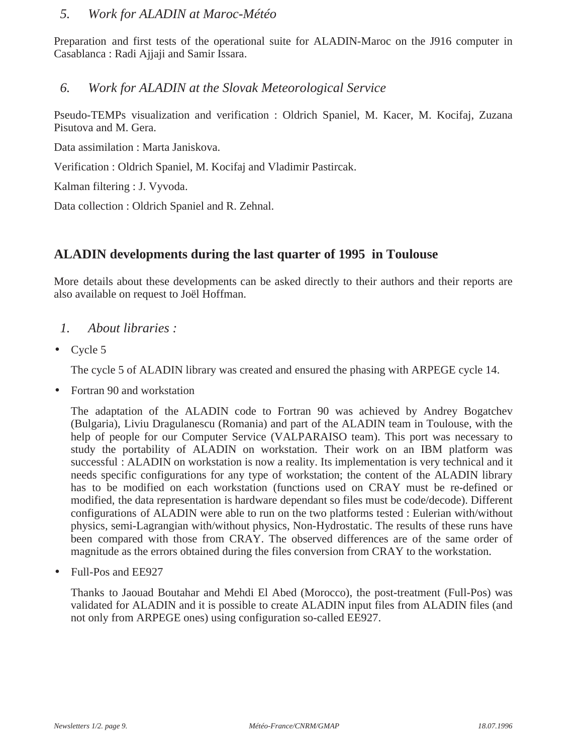#### *5. Work for ALADIN at Maroc-Météo*

Preparation and first tests of the operational suite for ALADIN-Maroc on the J916 computer in Casablanca : Radi Ajjaji and Samir Issara.

#### *6. Work for ALADIN at the Slovak Meteorological Service*

Pseudo-TEMPs visualization and verification : Oldrich Spaniel, M. Kacer, M. Kocifaj, Zuzana Pisutova and M. Gera.

Data assimilation : Marta Janiskova.

Verification : Oldrich Spaniel, M. Kocifaj and Vladimir Pastircak.

Kalman filtering : J. Vyvoda.

Data collection : Oldrich Spaniel and R. Zehnal.

#### **ALADIN developments during the last quarter of 1995 in Toulouse**

More details about these developments can be asked directly to their authors and their reports are also available on request to Joël Hoffman.

- *1. About libraries :*
- Cycle 5

The cycle 5 of ALADIN library was created and ensured the phasing with ARPEGE cycle 14.

• Fortran 90 and workstation

The adaptation of the ALADIN code to Fortran 90 was achieved by Andrey Bogatchev (Bulgaria), Liviu Dragulanescu (Romania) and part of the ALADIN team in Toulouse, with the help of people for our Computer Service (VALPARAISO team). This port was necessary to study the portability of ALADIN on workstation. Their work on an IBM platform was successful : ALADIN on workstation is now a reality. Its implementation is very technical and it needs specific configurations for any type of workstation; the content of the ALADIN library has to be modified on each workstation (functions used on CRAY must be re-defined or modified, the data representation is hardware dependant so files must be code/decode). Different configurations of ALADIN were able to run on the two platforms tested : Eulerian with/without physics, semi-Lagrangian with/without physics, Non-Hydrostatic. The results of these runs have been compared with those from CRAY. The observed differences are of the same order of magnitude as the errors obtained during the files conversion from CRAY to the workstation.

• Full-Pos and EE927

Thanks to Jaouad Boutahar and Mehdi El Abed (Morocco), the post-treatment (Full-Pos) was validated for ALADIN and it is possible to create ALADIN input files from ALADIN files (and not only from ARPEGE ones) using configuration so-called EE927.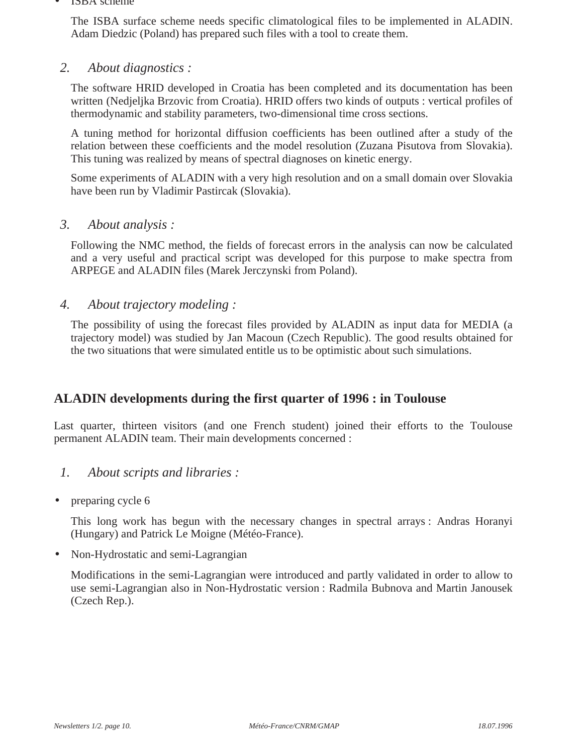#### • ISBA scheme

The ISBA surface scheme needs specific climatological files to be implemented in ALADIN. Adam Diedzic (Poland) has prepared such files with a tool to create them.

#### *2. About diagnostics :*

The software HRID developed in Croatia has been completed and its documentation has been written (Nedjeljka Brzovic from Croatia). HRID offers two kinds of outputs : vertical profiles of thermodynamic and stability parameters, two-dimensional time cross sections.

A tuning method for horizontal diffusion coefficients has been outlined after a study of the relation between these coefficients and the model resolution (Zuzana Pisutova from Slovakia). This tuning was realized by means of spectral diagnoses on kinetic energy.

Some experiments of ALADIN with a very high resolution and on a small domain over Slovakia have been run by Vladimir Pastircak (Slovakia).

#### *3. About analysis :*

Following the NMC method, the fields of forecast errors in the analysis can now be calculated and a very useful and practical script was developed for this purpose to make spectra from ARPEGE and ALADIN files (Marek Jerczynski from Poland).

#### *4. About trajectory modeling :*

The possibility of using the forecast files provided by ALADIN as input data for MEDIA (a trajectory model) was studied by Jan Macoun (Czech Republic). The good results obtained for the two situations that were simulated entitle us to be optimistic about such simulations.

#### **ALADIN developments during the first quarter of 1996 : in Toulouse**

Last quarter, thirteen visitors (and one French student) joined their efforts to the Toulouse permanent ALADIN team. Their main developments concerned :

#### *1. About scripts and libraries :*

• preparing cycle 6

This long work has begun with the necessary changes in spectral arrays : Andras Horanyi (Hungary) and Patrick Le Moigne (Météo-France).

• Non-Hydrostatic and semi-Lagrangian

Modifications in the semi-Lagrangian were introduced and partly validated in order to allow to use semi-Lagrangian also in Non-Hydrostatic version : Radmila Bubnova and Martin Janousek (Czech Rep.).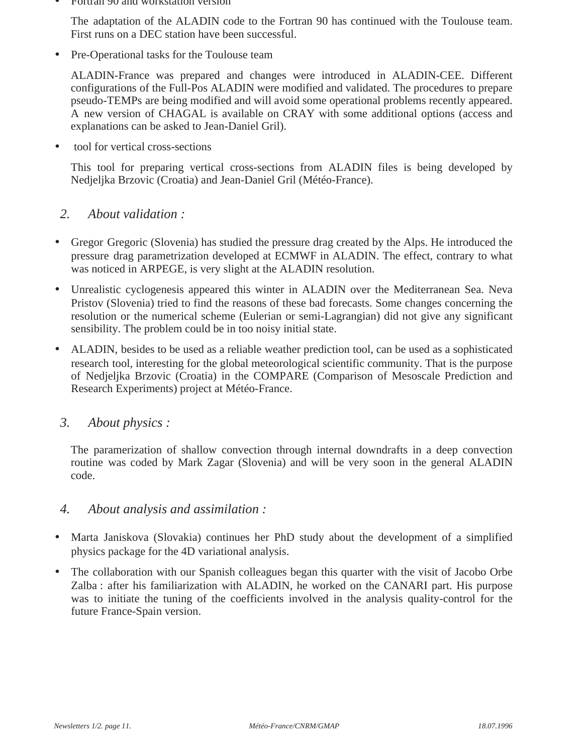• Fortran 90 and workstation version

The adaptation of the ALADIN code to the Fortran 90 has continued with the Toulouse team. First runs on a DEC station have been successful.

• Pre-Operational tasks for the Toulouse team

ALADIN-France was prepared and changes were introduced in ALADIN-CEE. Different configurations of the Full-Pos ALADIN were modified and validated. The procedures to prepare pseudo-TEMPs are being modified and will avoid some operational problems recently appeared. A new version of CHAGAL is available on CRAY with some additional options (access and explanations can be asked to Jean-Daniel Gril).

• tool for vertical cross-sections

This tool for preparing vertical cross-sections from ALADIN files is being developed by Nedjeljka Brzovic (Croatia) and Jean-Daniel Gril (Météo-France).

#### *2. About validation :*

- Gregor Gregoric (Slovenia) has studied the pressure drag created by the Alps. He introduced the pressure drag parametrization developed at ECMWF in ALADIN. The effect, contrary to what was noticed in ARPEGE, is very slight at the ALADIN resolution.
- Unrealistic cyclogenesis appeared this winter in ALADIN over the Mediterranean Sea. Neva Pristov (Slovenia) tried to find the reasons of these bad forecasts. Some changes concerning the resolution or the numerical scheme (Eulerian or semi-Lagrangian) did not give any significant sensibility. The problem could be in too noisy initial state.
- ALADIN, besides to be used as a reliable weather prediction tool, can be used as a sophisticated research tool, interesting for the global meteorological scientific community. That is the purpose of Nedjeljka Brzovic (Croatia) in the COMPARE (Comparison of Mesoscale Prediction and Research Experiments) project at Météo-France.

#### *3. About physics :*

The paramerization of shallow convection through internal downdrafts in a deep convection routine was coded by Mark Zagar (Slovenia) and will be very soon in the general ALADIN code.

#### *4. About analysis and assimilation :*

- Marta Janiskova (Slovakia) continues her PhD study about the development of a simplified physics package for the 4D variational analysis.
- The collaboration with our Spanish colleagues began this quarter with the visit of Jacobo Orbe Zalba : after his familiarization with ALADIN, he worked on the CANARI part. His purpose was to initiate the tuning of the coefficients involved in the analysis quality-control for the future France-Spain version.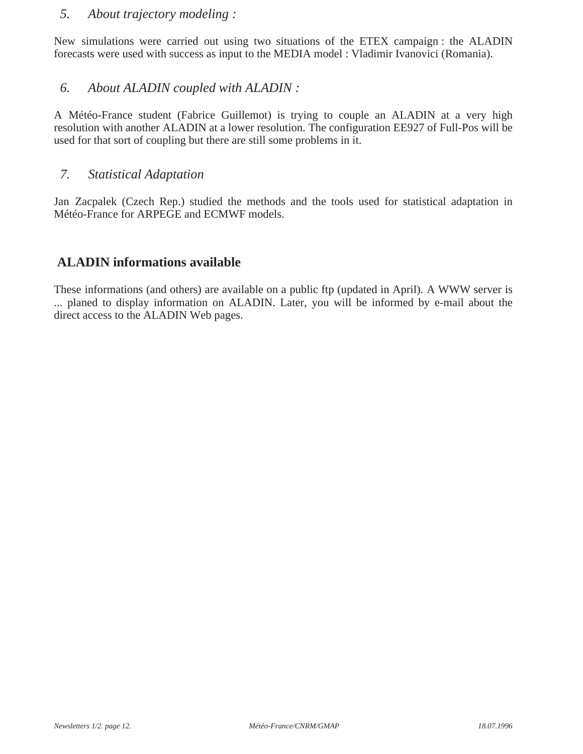#### *5. About trajectory modeling :*

New simulations were carried out using two situations of the ETEX campaign : the ALADIN forecasts were used with success as input to the MEDIA model : Vladimir Ivanovici (Romania).

#### *6. About ALADIN coupled with ALADIN :*

A Météo-France student (Fabrice Guillemot) is trying to couple an ALADIN at a very high resolution with another ALADIN at a lower resolution. The configuration EE927 of Full-Pos will be used for that sort of coupling but there are still some problems in it.

#### *7. Statistical Adaptation*

Jan Zacpalek (Czech Rep.) studied the methods and the tools used for statistical adaptation in Météo-France for ARPEGE and ECMWF models.

#### **ALADIN informations available**

These informations (and others) are available on a public ftp (updated in April). A WWW server is ... planed to display information on ALADIN. Later, you will be informed by e-mail about the direct access to the ALADIN Web pages.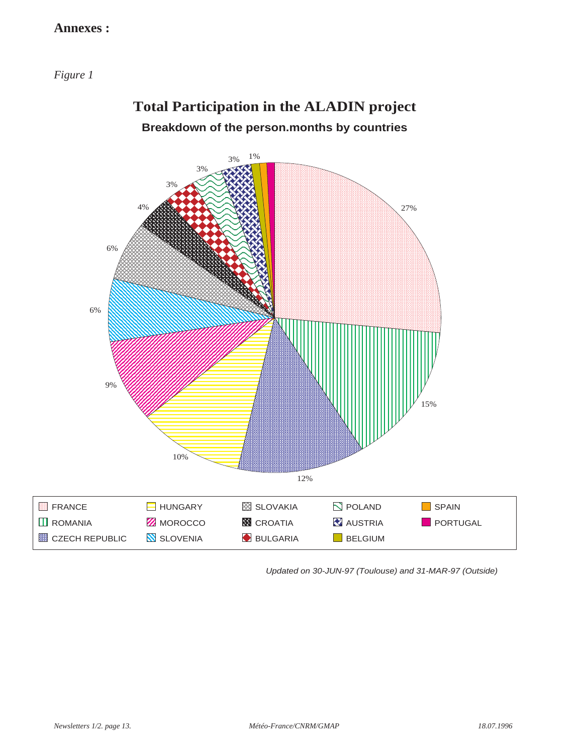#### **Annexes :**

*Figure 1*



**Total Participation in the ALADIN project**

Updated on 30-JUN-97 (Toulouse) and 31-MAR-97 (Outside)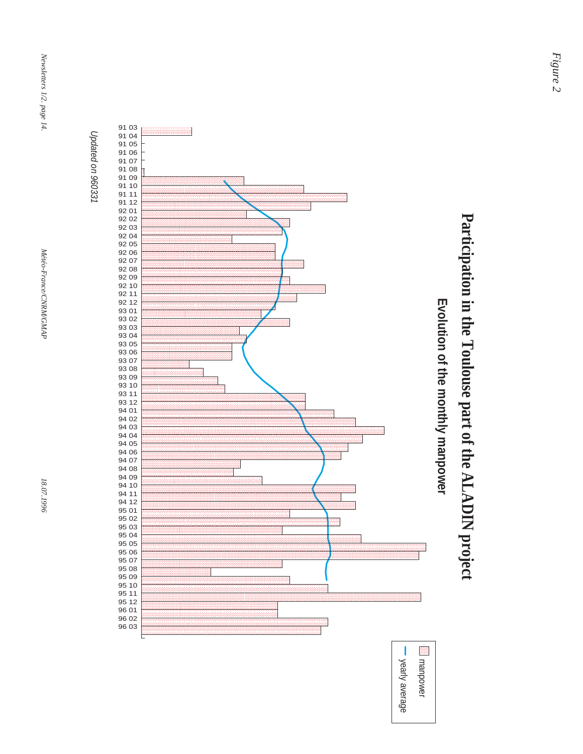





**Participation in the Toulouse part of the ALADIN project**

Participation in the Toulouse part of the ALADIN project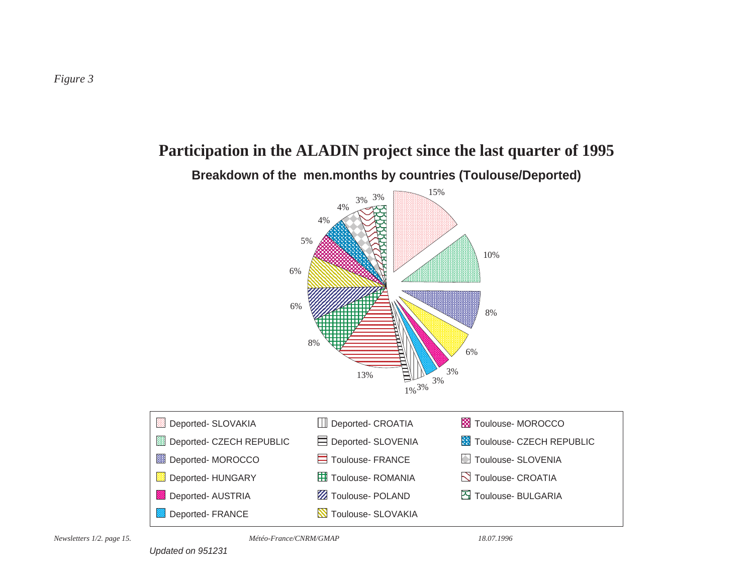

# **Participation in the ALADIN project since the last quarter of 1995**

Updated on 951231

*Météo-France/CNRM/GMAP*